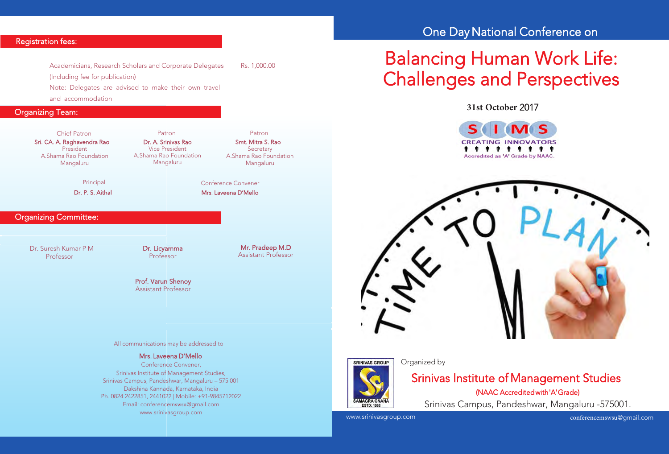#### Registration fees:

Academicians, Research Scholars and Corporate Delegates Rs. 1,000.00 (Including fee for publication) Note: Delegates are advised to make their own travel

and accommodation

## Organizing Team:

Sri. CA. A. Raghavendra Rao President A.Shama Rao Foundation Mangaluru Chief Patron Patron Patron

Dr. A. Srinivas Rao Vice President A.Shama Rao Foundation Mangaluru

Principal

Dr. P. S. Aithal

#### Organizing Committee:

Dr. Suresh Kumar P M Professor

Dr. Licyamma Professor

Mr. Pradeep M.D Assistant Professor

Smt. Mitra S. Rao **Secretary** A.Shama Rao Foundation Mangaluru

 Mrs. Laveena D'Mello Conference Convener

Prof. Varun Shenoy Assistant Professor

#### All communications may be addressed to

#### Mrs. Laveena D'Mello

 Conference Convener, Srinivas Institute of Management Studies, Srinivas Campus, Pandeshwar, Mangaluru – 575 001 Dakshina Kannada, Karnataka, India Ph. 0824 2422851, 2441022 | Mobile: +91-9845712022 Email: conferencemswsu@gmail.com www.srinivasgroup.com

# One Day National Conference on

# Balancing Human Work Life: Challenges and Perspectives

**31st October** 2017

I MS **CREATING INNOVATORS . . . . . . . . .** Accredited as 'A' Grade by NAAC.





#### Organized by

# Srinivas Institute of Management Studies (NAAC Accredited with 'A' Grade)

Srinivas Campus, Pandeshwar, Mangaluru -575001.

www.srinivasgroup.com

conferencemswsu@gmail.com